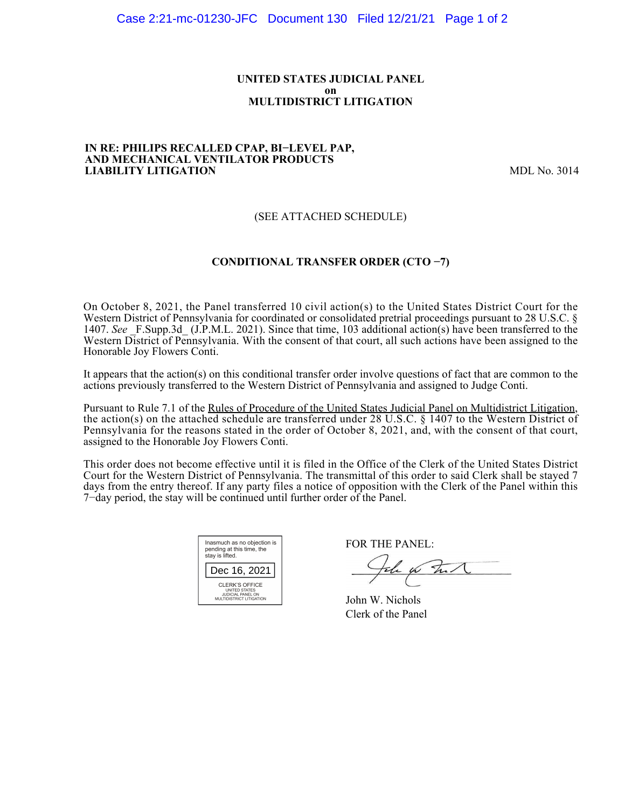### **UNITED STATES JUDICIAL PANEL on MULTIDISTRICT LITIGATION**

#### **IN RE: PHILIPS RECALLED CPAP, BI−LEVEL PAP, AND MECHANICAL VENTILATOR PRODUCTS LIABILITY LITIGATION** MDL No. 3014

## (SEE ATTACHED SCHEDULE)

## **CONDITIONAL TRANSFER ORDER (CTO −7)**

On October 8, 2021, the Panel transferred 10 civil action(s) to the United States District Court for the Western District of Pennsylvania for coordinated or consolidated pretrial proceedings pursuant to 28 U.S.C. § 1407. *See* \_F.Supp.3d\_ (J.P.M.L. 2021). Since that time, 103 additional action(s) have been transferred to the Western District of Pennsylvania. With the consent of that court, all such actions have been assigned to the Honorable Joy Flowers Conti.

It appears that the action(s) on this conditional transfer order involve questions of fact that are common to the actions previously transferred to the Western District of Pennsylvania and assigned to Judge Conti.

Pursuant to Rule 7.1 of the Rules of Procedure of the United States Judicial Panel on Multidistrict Litigation, the action(s) on the attached schedule are transferred under 28 U.S.C. § 1407 to the Western District of Pennsylvania for the reasons stated in the order of October 8, 2021, and, with the consent of that court, assigned to the Honorable Joy Flowers Conti.

This order does not become effective until it is filed in the Office of the Clerk of the United States District Court for the Western District of Pennsylvania. The transmittal of this order to said Clerk shall be stayed 7 days from the entry thereof. If any party files a notice of opposition with the Clerk of the Panel within this 7−day period, the stay will be continued until further order of the Panel.

| Inasmuch as no objection is<br>pending at this time, the<br>stay is lifted.      |
|----------------------------------------------------------------------------------|
| Dec 16, 2021                                                                     |
| CLERK'S OFFICE<br>UNITED STATES<br>JUDICIAL PANEL ON<br>MULTIDISTRICT LITIGATION |

FOR THE PANEL:

John for Full

John W. Nichols Clerk of the Panel